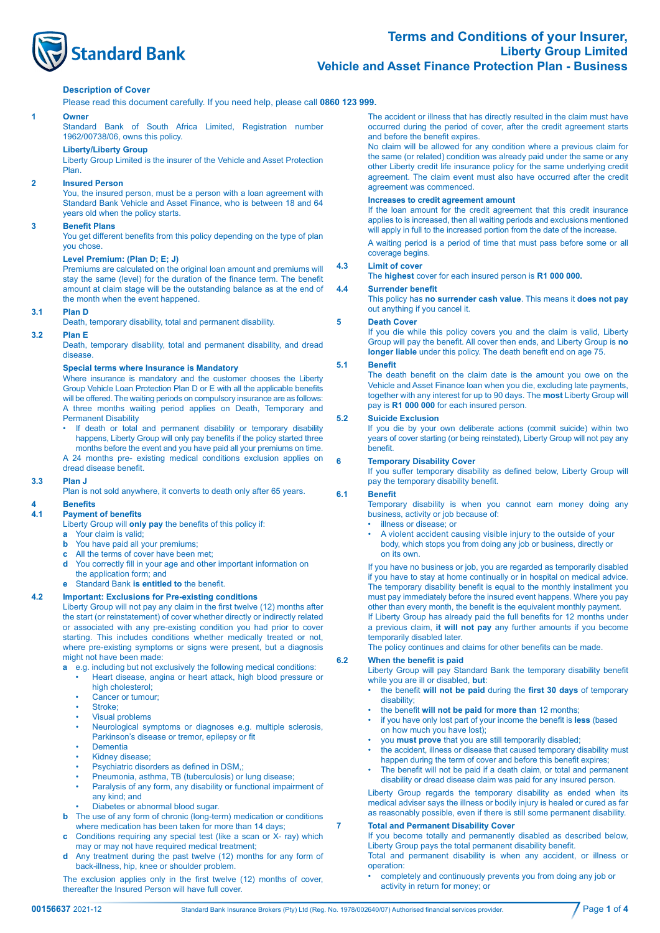

# **Terms and Conditions of your Insurer, Liberty Group Limited Vehicle and Asset Finance Protection Plan - Business**

# **Description of Cover**

Please read this document carefully. If you need help, please call **0860 123 999.**

#### **1 Owner**

Standard Bank of South Africa Limited, Registration number 1962/00738/06, owns this policy.

### **Liberty/Liberty Group**

Liberty Group Limited is the insurer of the Vehicle and Asset Protection Plan.

# **2 Insured Person**

You, the insured person, must be a person with a loan agreement with Standard Bank Vehicle and Asset Finance, who is between 18 and 64 years old when the policy starts.

# **3 Benefit Plans**

 You get different benefits from this policy depending on the type of plan you chose.

# **Level Premium: (Plan D; E; J)**

Premiums are calculated on the original loan amount and premiums will stay the same (level) for the duration of the finance term. The benefit amount at claim stage will be the outstanding balance as at the end of the month when the event happened.

# **3.1 Plan D**

Death, temporary disability, total and permanent disability.

#### **3.2 Plan E**

Death, temporary disability, total and permanent disability, and dread disease.

## **Special terms where Insurance is Mandatory**

Where insurance is mandatory and the customer chooses the Liberty Group Vehicle Loan Protection Plan D or E with all the applicable benefits will be offered. The waiting periods on compulsory insurance are as follows: A three months waiting period applies on Death, Temporary and Permanent Disability

- If death or total and permanent disability or temporary disability happens, Liberty Group will only pay benefits if the policy started three months before the event and you have paid all your premiums on time.
- A 24 months pre- existing medical conditions exclusion applies on dread disease benefit.

#### **3.3 Plan J**

Plan is not sold anywhere, it converts to death only after 65 years.

# **4 Benefits**

# **4.1 Payment of benefits**

- Liberty Group will **only pay** the benefits of this policy if:
- Your claim is valid;
- **b** You have paid all your premiums;
- **c** All the terms of cover have been met;
- **d** You correctly fill in your age and other important information on the application form; and

**e** Standard Bank **is entitled to** the benefit.

## **4.2 Important: Exclusions for Pre-existing conditions**

 Liberty Group will not pay any claim in the first twelve (12) months after the start (or reinstatement) of cover whether directly or indirectly related or associated with any pre-existing condition you had prior to cover starting. This includes conditions whether medically treated or not, where pre-existing symptoms or signs were present, but a diagnosis might not have been made:

- **a**  $\overline{e}$ , e.g. including but not exclusively the following medical conditions:
	- Heart disease, angina or heart attack, high blood pressure or high cholesterol:
	- Cancer or tumour;
	- Stroke;
	- Visual problems
	- Neurological symptoms or diagnoses e.g. multiple sclerosis, Parkinson's disease or tremor, epilepsy or fit
	- **Dementia**
	- Kidney disease:
	- Psychiatric disorders as defined in DSM,;
	- Pneumonia, asthma, TB (tuberculosis) or lung disease; Paralysis of any form, any disability or functional impairment of
	- any kind; and
	- Diabetes or abnormal blood sugar.
- **b** The use of any form of chronic (long-term) medication or conditions where medication has been taken for more than 14 days;
- **c** Conditions requiring any special test (like a scan or X- ray) which may or may not have required medical treatment;
- **d** Any treatment during the past twelve (12) months for any form of back-illness, hip, knee or shoulder problem.

 The exclusion applies only in the first twelve (12) months of cover, thereafter the Insured Person will have full cover.

 The accident or illness that has directly resulted in the claim must have occurred during the period of cover, after the credit agreement starts and before the benefit expires.

No claim will be allowed for any condition where a previous claim for the same (or related) condition was already paid under the same or any other Liberty credit life insurance policy for the same underlying credit agreement. The claim event must also have occurred after the credit agreement was commenced.

# **Increases to credit agreement amount**

If the loan amount for the credit agreement that this credit insurance applies to is increased, then all waiting periods and exclusions mentioned will apply in full to the increased portion from the date of the increase.

A waiting period is a period of time that must pass before some or all coverage begins.

# **4.3 Limit of cover**

 The **highest** cover for each insured person is **R1 000 000.**

#### **4.4 Surrender benefit**

 This policy has **no surrender cash value**. This means it **does not pay** out anything if you cancel it.

#### **5 Death Cover**

If you die while this policy covers you and the claim is valid, Liberty Group will pay the benefit. All cover then ends, and Liberty Group is **no longer liable** under this policy. The death benefit end on age 75.

# **5.1 Benefit**

 The death benefit on the claim date is the amount you owe on the Vehicle and Asset Finance loan when you die, excluding late payments, together with any interest for up to 90 days. The **most** Liberty Group will pay is **R1 000 000** for each insured person.

# **5.2 Suicide Exclusion**

If you die by your own deliberate actions (commit suicide) within two years of cover starting (or being reinstated), Liberty Group will not pay any **benefit** 

#### **6 Temporary Disability Cover**

If you suffer temporary disability as defined below, Liberty Group will pay the temporary disability benefit.

#### **6.1 Benefit**

 Temporary disability is when you cannot earn money doing any business, activity or job because of:

- illness or disease; or
- A violent accident causing visible injury to the outside of your body, which stops you from doing any job or business, directly or on its own.

If you have no business or job, you are regarded as temporarily disabled if you have to stay at home continually or in hospital on medical advice. The temporary disability benefit is equal to the monthly installment you must pay immediately before the insured event happens. Where you pay other than every month, the benefit is the equivalent monthly payment. If Liberty Group has already paid the full benefits for 12 months under

a previous claim, **it will not pay** any further amounts if you become temporarily disabled later.

 The policy continues and claims for other benefits can be made.

# **6.2 When the benefit is paid**

 Liberty Group will pay Standard Bank the temporary disability benefit while you are ill or disabled, **but**:

- • the benefit **will not be paid** during the **first 30 days** of temporary disability;
- • the benefit **will not be paid** for **more than** 12 months;
- if you have only lost part of your income the benefit is **less** (based on how much you have lost);
- you **must prove** that you are still temporarily disabled;
- the accident, illness or disease that caused temporary disability must happen during the term of cover and before this benefit expires;
- The benefit will not be paid if a death claim, or total and permanent disability or dread disease claim was paid for any insured person.

Liberty Group regards the temporary disability as ended when its medical adviser says the illness or bodily injury is healed or cured as far as reasonably possible, even if there is still some permanent disability.

# **7 Total and Permanent Disability Cover**

If you become totally and permanently disabled as described below, Liberty Group pays the total permanent disability benefit. Total and permanent disability is when any accident, or illness or

operation:

• completely and continuously prevents you from doing any job or activity in return for money; or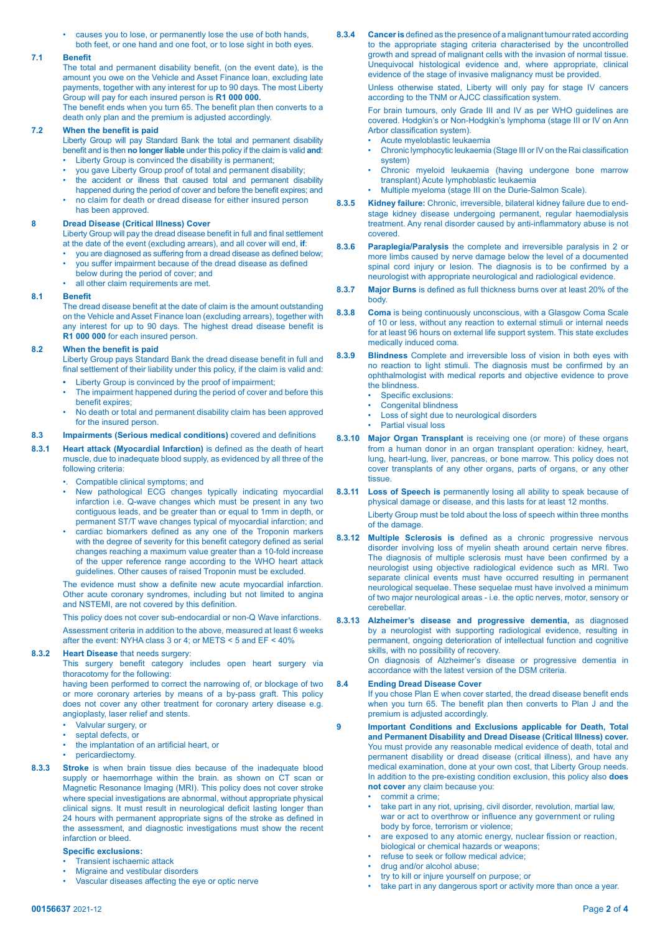• causes you to lose, or permanently lose the use of both hands, both feet, or one hand and one foot, or to lose sight in both eyes.

## **7.1 Benefit**

 The total and permanent disability benefit, (on the event date), is the amount you owe on the Vehicle and Asset Finance loan, excluding late payments, together with any interest for up to 90 days. The most Liberty Group will pay for each insured person is **R1 000 000.**

 The benefit ends when you turn 65. The benefit plan then converts to a death only plan and the premium is adjusted accordingly.

# **7.2 When the benefit is paid**

Liberty Group will pay Standard Bank the total and permanent disability benefit and is then **no longerliable** under this policy if the claim is valid **and**:

- Liberty Group is convinced the disability is permanent;
- you gave Liberty Group proof of total and permanent disability; the accident or illness that caused total and permanent disability
- happened during the period of cover and before the benefit expires; and
- no claim for death or dread disease for either insured person has been approved.

# **8 Dread Disease (Critical Illness) Cover**

 Liberty Group will pay the dread disease benefit in full and final settlement at the date of the event (excluding arrears), and all cover will end, **if**:

- you are diagnosed as suffering from a dread disease as defined below;
- you suffer impairment because of the dread disease as defined
- below during the period of cover; and all other claim requirements are met.
- 

# **8.1 Benefit**

The dread disease benefit at the date of claim is the amount outstanding on the Vehicle and Asset Finance loan (excluding arrears), together with any interest for up to 90 days. The highest dread disease benefit is **R1 000 000** for each insured person.

# **8.2 When the benefit is paid**

 Liberty Group pays Standard Bank the dread disease benefit in full and final settlement of their liability under this policy, if the claim is valid and:

- **•** Liberty Group is convinced by the proof of impairment;
- The impairment happened during the period of cover and before this benefit expires;
- No death or total and permanent disability claim has been approved for the insured person.

# **8.3 Impairments (Serious medical conditions)** covered and definitions

- **8.3.1 Heart attack (Myocardial Infarction)** is defined as the death of heart muscle, due to inadequate blood supply, as evidenced by all three of the following criteria:
	- Compatible clinical symptoms; and
	- New pathological ECG changes typically indicating myocardial infarction i.e. Q-wave changes which must be present in any two contiguous leads, and be greater than or equal to 1mm in depth, or permanent ST/T wave changes typical of myocardial infarction; and
	- cardiac biomarkers defined as any one of the Troponin markers with the degree of severity for this benefit category defined as serial changes reaching a maximum value greater than a 10-fold increase of the upper reference range according to the WHO heart attack guidelines. Other causes of raised Troponin must be excluded.

 The evidence must show a definite new acute myocardial infarction. Other acute coronary syndromes, including but not limited to angina and NSTEMI, are not covered by this definition.

 This policy does not cover sub-endocardial or non-Q Wave infarctions. Assessment criteria in addition to the above, measured at least 6 weeks

after the event: NYHA class 3 or 4; or METS < 5 and EF < 40%

# **8.3.2 Heart Disease** that needs surgery:

 This surgery benefit category includes open heart surgery via thoracotomy for the following:

having been performed to correct the narrowing of, or blockage of two or more coronary arteries by means of a by-pass graft. This policy does not cover any other treatment for coronary artery disease e.g. angioplasty, laser relief and stents.

- Valvular surgery, or
- septal defects, or
- the implantation of an artificial heart, or
- pericardiectomy.
- **8.3.3 Stroke** is when brain tissue dies because of the inadequate blood supply or haemorrhage within the brain, as shown on CT scan or Magnetic Resonance Imaging (MRI). This policy does not cover stroke where special investigations are abnormal, without appropriate physical clinical signs. It must result in neurological deficit lasting longer than 24 hours with permanent appropriate signs of the stroke as defined in the assessment, and diagnostic investigations must show the recent infarction or bleed.

#### **Specific exclusions:**

- **Transient ischaemic attack**
- Migraine and vestibular disorders
- Vascular diseases affecting the eye or optic nerve

**8.3.4 Canceris** defined as the presence of a malignant tumourrated according to the appropriate staging criteria characterised by the uncontrolled growth and spread of malignant cells with the invasion of normal tissue. Unequivocal histological evidence and, where appropriate, clinical evidence of the stage of invasive malignancy must be provided.

Unless otherwise stated, Liberty will only pay for stage IV cancers according to the TNM or AJCC classification system.

For brain tumours, only Grade III and IV as per WHO guidelines are covered. Hodgkin's or Non-Hodgkin's lymphoma (stage III or IV on Ann Arbor classification system).

- Acute myeloblastic leukaemia
- Chronic lymphocytic leukaemia (Stage III or IV on the Rai classification system)
- Chronic myeloid leukaemia (having undergone bone marrow transplant) Acute lymphoblastic leukaemia
- Multiple myeloma (stage III on the Durie-Salmon Scale).
- **8.3.5 Kidney failure:** Chronic, irreversible, bilateral kidney failure due to endstage kidney disease undergoing permanent, regular haemodialysis treatment. Any renal disorder caused by anti-inflammatory abuse is not covered.
- **8.3.6 Paraplegia/Paralysis** the complete and irreversible paralysis in 2 or more limbs caused by nerve damage below the level of a documented spinal cord injury or lesion. The diagnosis is to be confirmed by a neurologist with appropriate neurological and radiological evidence.
- **8.3.7 Major Burns** is defined as full thickness burns over at least 20% of the body.
- **8.3.8 Coma** is being continuously unconscious, with a Glasgow Coma Scale of 10 or less, without any reaction to external stimuli or internal needs for at least 96 hours on external life support system. This state excludes medically induced coma.
- **8.3.9 Blindness** Complete and irreversible loss of vision in both eyes with no reaction to light stimuli. The diagnosis must be confirmed by an ophthalmologist with medical reports and objective evidence to prove the blindness.
	- Specific exclusions:
	- Congenital blindness
	- Loss of sight due to neurological disorders
	- Partial visual loss
- **8.3.10 Major Organ Transplant** is receiving one (or more) of these organs from a human donor in an organ transplant operation: kidney, heart, lung, heart-lung, liver, pancreas, or bone marrow. This policy does not cover transplants of any other organs, parts of organs, or any other tissue.
- **8.3.11 Loss of Speech is** permanently losing all ability to speak because of physical damage or disease, and this lasts for at least 12 months.

Liberty Group must be told about the loss of speech within three months of the damage.

- **8.3.12 Multiple Sclerosis is** defined as a chronic progressive nervous disorder involving loss of myelin sheath around certain nerve fibres. The diagnosis of multiple sclerosis must have been confirmed by a neurologist using objective radiological evidence such as MRI. Two separate clinical events must have occurred resulting in permanent neurological sequelae. These sequelae must have involved a minimum of two major neurological areas - i.e. the optic nerves, motor, sensory or cerebellar.
- **8.3.13 Alzheimer's disease and progressive dementia,** as diagnosed by a neurologist with supporting radiological evidence, resulting in permanent, ongoing deterioration of intellectual function and cognitive skills, with no possibility of recovery. On diagnosis of Alzheimer's disease or progressive dementia in accordance with the latest version of the DSM criteria.

#### **8.4 Ending Dread Disease Cover**

If you chose Plan E when cover started, the dread disease benefit ends when you turn 65. The benefit plan then converts to Plan J and the premium is adjusted accordingly.

- **9 Important Conditions and Exclusions applicable for Death, Total and Permanent Disability and Dread Disease (Critical Illness) cover.** You must provide any reasonable medical evidence of death, total and permanent disability or dread disease (critical illness), and have any medical examination, done at your own cost, that Liberty Group needs. In addition to the pre-existing condition exclusion, this policy also **does not cover** any claim because you:
	- commit a crime;
	- take part in any riot, uprising, civil disorder, revolution, martial law, war or act to overthrow or influence any government or ruling body by force, terrorism or violence;
	- are exposed to any atomic energy, nuclear fission or reaction, biological or chemical hazards or weapons;
	- refuse to seek or follow medical advice;
	- drug and/or alcohol abuse;
	- try to kill or injure yourself on purpose; or
	- take part in any dangerous sport or activity more than once a year.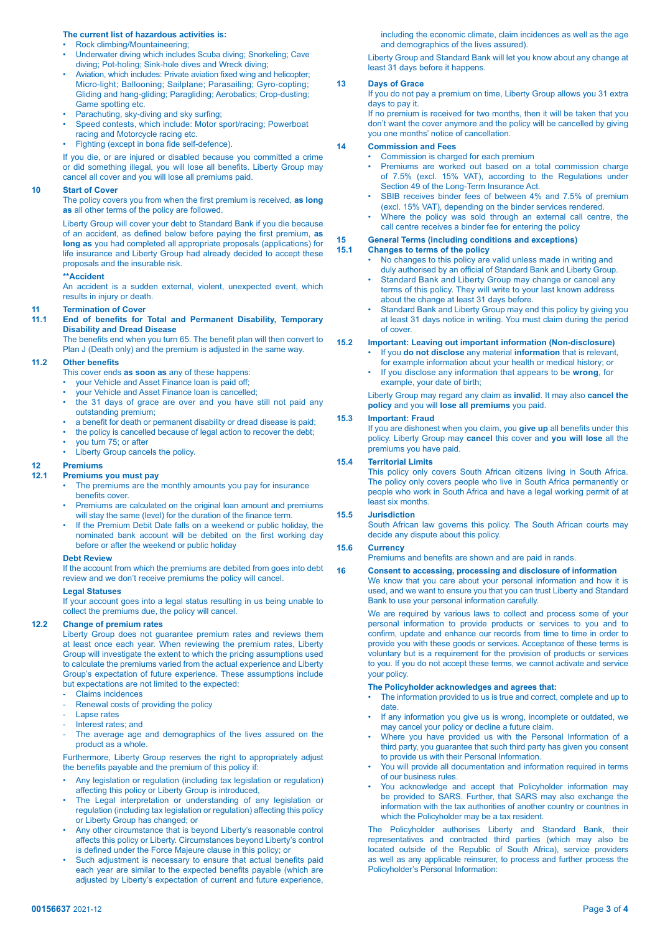# **The current list of hazardous activities is:**

- Rock climbing/Mountaineering;
- Underwater diving which includes Scuba diving; Snorkeling; Cave diving; Pot-holing; Sink-hole dives and Wreck diving;
- Aviation, which includes: Private aviation fixed wing and helicopter; Micro-light; Ballooning; Sailplane; Parasailing; Gyro-copting; Gliding and hang-gliding; Paragliding; Aerobatics; Crop-dusting; Game spotting etc.
- Parachuting, sky-diving and sky surfing;
- Speed contests, which include: Motor sport/racing; Powerboat
- racing and Motorcycle racing etc. Fighting (except in bona fide self-defence).

If you die, or are injured or disabled because you committed a crime or did something illegal, you will lose all benefits. Liberty Group may cancel all cover and you will lose all premiums paid.

## **10 Start of Cover**

 The policy covers you from when the first premium is received, **as long as** all other terms of the policy are followed.

Liberty Group will cover your debt to Standard Bank if you die because of an accident, as defined below before paying the first premium, **as long as** you had completed all appropriate proposals (applications) for life insurance and Liberty Group had already decided to accept these proposals and the insurable risk.

#### **\*\*Accident**

An accident is a sudden external, violent, unexpected event, which results in injury or death.

# **11 1 Termination of Cover**<br>**11.1 Fnd. of benefits for**

#### **11.1 End of benefits for Total and Permanent Disability, Temporary Disability and Dread Disease**

The benefits end when you turn 65. The benefit plan will then convert to Plan J (Death only) and the premium is adjusted in the same way.

# **11.2 Other benefits**

 This cover ends **as soon as** any of these happens:

- your Vehicle and Asset Finance loan is paid off;
- your Vehicle and Asset Finance loan is cancelled;
- the 31 days of grace are over and you have still not paid any outstanding premium;
- a benefit for death or permanent disability or dread disease is paid;
- the policy is cancelled because of legal action to recover the debt;
- you turn 75; or after
- Liberty Group cancels the policy.

# **12 Premiums**

#### **12.1 Premiums you must pay**

- The premiums are the monthly amounts you pay for insurance benefits cover.
- Premiums are calculated on the original loan amount and premiums will stay the same (level) for the duration of the finance term.
- If the Premium Debit Date falls on a weekend or public holiday, the nominated bank account will be debited on the first working day before or after the weekend or public holiday

#### **Debt Review**

If the account from which the premiums are debited from goes into debt review and we don't receive premiums the policy will cancel.

#### **Legal Statuses**

If your account goes into a legal status resulting in us being unable to collect the premiums due, the policy will cancel.

#### **12.2 Change of premium rates**

Liberty Group does not guarantee premium rates and reviews them at least once each year. When reviewing the premium rates, Liberty Group will investigate the extent to which the pricing assumptions used to calculate the premiums varied from the actual experience and Liberty Group's expectation of future experience. These assumptions include but expectations are not limited to the expected:

- Claims incidences
- Renewal costs of providing the policy
- Lapse rates
- Interest rates; and
- The average age and demographics of the lives assured on the product as a whole.

Furthermore, Liberty Group reserves the right to appropriately adjust the benefits payable and the premium of this policy if:

- Any legislation or regulation (including tax legislation or regulation) affecting this policy or Liberty Group is introduced,
- The Legal interpretation or understanding of any legislation or regulation (including tax legislation or regulation) affecting this policy or Liberty Group has changed; or
- Any other circumstance that is beyond Liberty's reasonable control affects this policy or Liberty. Circumstances beyond Liberty's control is defined under the Force Majeure clause in this policy; or
- Such adjustment is necessary to ensure that actual benefits paid each year are similar to the expected benefits payable (which are adjusted by Liberty's expectation of current and future experience,

including the economic climate, claim incidences as well as the age and demographics of the lives assured).

Liberty Group and Standard Bank will let you know about any change at least 31 days before it happens.

#### **13 Days of Grace**

If you do not pay a premium on time, Liberty Group allows you 31 extra days to pay it.

If no premium is received for two months, then it will be taken that you don't want the cover anymore and the policy will be cancelled by giving you one months' notice of cancellation.

## **14 Commission and Fees**

- Commission is charged for each premium
- Premiums are worked out based on a total commission charge of 7.5% (excl. 15% VAT), according to the Regulations under Section 49 of the Long-Term Insurance Act.
- SBIB receives binder fees of between 4% and 7.5% of premium (excl. 15% VAT), depending on the binder services rendered.
- Where the policy was sold through an external call centre, the call centre receives a binder fee for entering the policy

# **15 General Terms (including conditions and exceptions)**

#### **15.1 Changes to terms of the policy**

- No changes to this policy are valid unless made in writing and duly authorised by an official of Standard Bank and Liberty Group.
- Standard Bank and Liberty Group may change or cancel any terms of this policy. They will write to your last known address about the change at least 31 days before.
- Standard Bank and Liberty Group may end this policy by giving you at least 31 days notice in writing. You must claim during the period of cover.

#### **15.2 Important: Leaving out important information (Non-disclosure)**

- If you **do not disclose** any material **information** that is relevant, for example information about your health or medical history; or
	- If you disclose any information that appears to be **wrong**, for example, your date of birth;

Liberty Group may regard any claim as **invalid**. It may also **cancel the policy** and you will **lose all premiums** you paid.

#### **15.3 Important: Fraud**

If you are dishonest when you claim, you **give up** all benefits under this policy. Liberty Group may **cancel** this cover and **you will lose** all the premiums you have paid.

### **15.4 Territorial Limits**

 This policy only covers South African citizens living in South Africa. The policy only covers people who live in South Africa permanently or people who work in South Africa and have a legal working permit of at least six months.

# **15.5 Jurisdiction**

 South African law governs this policy. The South African courts may decide any dispute about this policy.

### **15.6 Currency**

 Premiums and benefits are shown and are paid in rands.

#### **16 Consent to accessing, processing and disclosure of information**

We know that you care about your personal information and how it is used, and we want to ensure you that you can trust Liberty and Standard Bank to use your personal information carefully.

We are required by various laws to collect and process some of your personal information to provide products or services to you and to confirm, update and enhance our records from time to time in order to provide you with these goods or services. Acceptance of these terms is voluntary but is a requirement for the provision of products or services to you. If you do not accept these terms, we cannot activate and service your policy.

#### **The Policyholder acknowledges and agrees that:**

- The information provided to us is true and correct, complete and up to date.
- If any information you give us is wrong, incomplete or outdated, we may cancel your policy or decline a future claim.
- Where you have provided us with the Personal Information of a third party, you guarantee that such third party has given you consent to provide us with their Personal Information.
- You will provide all documentation and information required in terms of our business rules.
- You acknowledge and accept that Policyholder information may be provided to SARS. Further, that SARS may also exchange the information with the tax authorities of another country or countries in which the Policyholder may be a tax resident.

 The Policyholder authorises Liberty and Standard Bank, their representatives and contracted third parties (which may also be located outside of the Republic of South Africa), service providers as well as any applicable reinsurer, to process and further process the Policyholder's Personal Information: